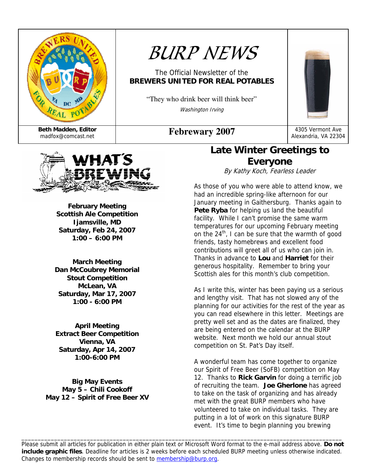

# *BURP NEWS*

### The Official Newsletter of the **BREWERS UNITED FOR REAL POTABLES**

"They who drink beer will think beer" Washington Irving

Alexandria, VA 22304



**February Meeting Scottish Ale Competition Ijamsville, MD Saturday, Feb 24, 2007 1:00 – 6:00 PM** 

**March Meeting Dan McCoubrey Memorial Stout Competition McLean, VA Saturday, Mar 17, 2007 1:00 - 6:00 PM** 

**April Meeting Extract Beer Competition Vienna, VA Saturday, Apr 14, 2007 1:00-6:00 PM** 

**Big May Events May 5 – Chili Cookoff May 12 – Spirit of Free Beer XV** 

### **Late Winter Greetings to Everyone**

By Kathy Koch, Fearless Leader

As those of you who were able to attend know, we had an incredible spring-like afternoon for our January meeting in Gaithersburg. Thanks again to **Pete Ryba** for helping us land the beautiful facility. While I can't promise the same warm temperatures for our upcoming February meeting on the 24<sup>th</sup>, I can be sure that the warmth of good friends, tasty homebrews and excellent food contributions will greet all of us who can join in. Thanks in advance to **Lou** and **Harriet** for their generous hospitality. Remember to bring your Scottish ales for this month's club competition.

As I write this, winter has been paying us a serious and lengthy visit. That has not slowed any of the planning for our activities for the rest of the year as you can read elsewhere in this letter. Meetings are pretty well set and as the dates are finalized, they are being entered on the calendar at the BURP website. Next month we hold our annual stout competition on St. Pat's Day itself.

A wonderful team has come together to organize our Spirit of Free Beer (SoFB) competition on May 12. Thanks to **Rick Garvin** for doing a terrific job of recruiting the team. **Joe Gherlone** has agreed to take on the task of organizing and has already met with the great BURP members who have volunteered to take on individual tasks. They are putting in a lot of work on this signature BURP event. It's time to begin planning you brewing

Please submit all articles for publication in either plain text or Microsoft Word format to the e-mail address above. **Do not include graphic files**. Deadline for articles is 2 weeks before each scheduled BURP meeting unless otherwise indicated. Changes to membership records should be sent to membership@burp.org.

\_\_\_\_\_\_\_\_\_\_\_\_\_\_\_\_\_\_\_\_\_\_\_\_\_\_\_\_\_\_\_\_\_\_\_\_\_\_\_\_\_\_\_\_\_\_\_\_\_\_\_\_\_\_\_\_\_\_\_\_\_\_\_\_\_\_\_\_\_\_\_\_\_\_\_\_\_\_\_\_\_\_\_\_\_\_\_\_\_\_\_\_\_\_\_\_\_\_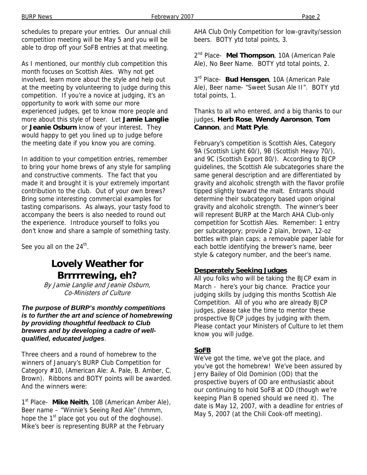schedules to prepare your entries. Our annual chili competition meeting will be May 5 and you will be able to drop off your SoFB entries at that meeting.

As I mentioned, our monthly club competition this month focuses on Scottish Ales. Why not get involved, learn more about the style and help out at the meeting by volunteering to judge during this competition. If you're a novice at judging, it's an opportunity to work with some our more experienced judges, get to know more people and more about this style of beer. Let **Jamie Langlie** or **Jeanie Osburn** know of your interest. They would happy to get you lined up to judge before the meeting date if you know you are coming.

In addition to your competition entries, remember to bring your home brews of any style for sampling and constructive comments. The fact that you made it and brought it is your extremely important contribution to the club. Out of your own brews? Bring some interesting commercial examples for tasting comparisons. As always, your tasty food to accompany the beers is also needed to round out the experience. Introduce yourself to folks you don't know and share a sample of something tasty.

See you all on the  $24<sup>th</sup>$ .

### **Lovely Weather for Brrrrrewing, eh?**

By Jamie Langlie and Jeanie Osburn, Co-Ministers of Culture

#### *The purpose of BURP's monthly competitions is to further the art and science of homebrewing by providing thoughtful feedback to Club brewers and by developing a cadre of wellqualified, educated judges*.

Three cheers and a round of homebrew to the winners of January's BURP Club Competition for Category #10, (American Ale: A. Pale, B. Amber, C. Brown). Ribbons and BOTY points will be awarded. And the winners were:

1<sup>st</sup> Place- Mike Neith, 10B (American Amber Ale), Beer name – "Winnie's Seeing Red Ale" (hmmm, hope the  $1<sup>st</sup>$  place got you out of the doghouse). Mike's beer is representing BURP at the February

AHA Club Only Competition for low-gravity/session beers. BOTY ytd total points, 3.

2nd Place- **Mel Thompson**, 10A (American Pale Ale), No Beer Name. BOTY ytd total points, 2.

 $3<sup>rd</sup>$  Place- **Bud Hensgen**, 10A (American Pale Ale), Beer name- "Sweet Susan Ale II". BOTY ytd total points, 1.

Thanks to all who entered, and a big thanks to our judges, **Herb Rose**, **Wendy Aaronson**, **Tom Cannon**, and **Matt Pyle**.

February's competition is Scottish Ales, Category 9A (Scottish Light 60/), 9B (Scottish Heavy 70/), and 9C (Scottish Export 80/). According to BJCP guidelines, the Scottish Ale subcategories share the same general description and are differentiated by gravity and alcoholic strength with the flavor profile tipped slightly toward the malt. Entrants should determine their subcategory based upon original gravity and alcoholic strength. The winner's beer will represent BURP at the March AHA Club-only competition for Scottish Ales. Remember: 1 entry per subcategory; provide 2 plain, brown, 12-oz bottles with plain caps; a removable paper lable for each bottle identifying the brewer's name, beer style & category number, and the beer's name.

#### **Desperately Seeking Judges**

All you folks who will be taking the BJCP exam in March - here's your big chance. Practice your judging skills by judging this months Scottish Ale Competition. All of you who are already BJCP judges, please take the time to mentor these prospective BJCP judges by judging with them. Please contact your Ministers of Culture to let them know you will judge.

#### **SoFB**

We've got the time, we've got the place, and you've got the homebrew! We've been assured by Jerry Bailey of Old Dominion (OD) that the prospective buyers of OD are enthusiastic about our continuing to hold SoFB at OD (though we're keeping Plan B opened should we need it). The date is May 12, 2007, with a deadline for entries of May 5, 2007 (at the Chili Cook-off meeting).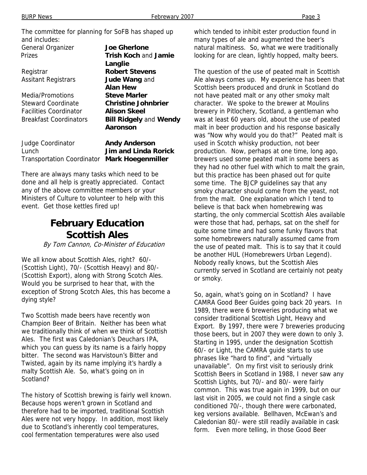The committee for planning for SoFB has shaped up and includes: General Organizer **Joe Gherlone** Prizes **Trish Koch** and **Jamie Langlie**  Registrar **Robert Stevens** Assitant Registrars **Jude Wang** and **Alan Hew** Media/Promotions **Steve Marler** Steward Coordinate **Christine Johnbrier** Facilities Coordinator **Alison Skeel** Breakfast Coordinators **Bill Ridgely** and **Wendy Aaronson**

| Judge Coordinator                            | <b>Andy Anderson</b> |
|----------------------------------------------|----------------------|
| Lunch                                        | Jim and Linda Rorick |
| Transportation Coordinator Mark Hoegenmiller |                      |

There are always many tasks which need to be done and all help is greatly appreciated. Contact any of the above committee members or your Ministers of Culture to volunteer to help with this event. Get those kettles fired up!

### **February Education Scottish Ales**

By Tom Cannon, Co-Minister of Education

We all know about Scottish Ales, right? 60/- (Scottish Light), 70/- (Scottish Heavy) and 80/- (Scottish Export), along with Strong Scotch Ales. Would you be surprised to hear that, with the exception of Strong Scotch Ales, this has become a dying style?

Two Scottish made beers have recently won Champion Beer of Britain. Neither has been what we traditionally think of when we think of Scottish Ales. The first was Caledonian's Deuchars IPA, which you can guess by its name is a fairly hoppy bitter. The second was Harvistoun's Bitter and Twisted, again by its name implying it's hardly a malty Scottish Ale. So, what's going on in Scotland?

The history of Scottish brewing is fairly well known. Because hops weren't grown in Scotland and therefore had to be imported, traditional Scottish Ales were not very hoppy. In addition, most likely due to Scotland's inherently cool temperatures, cool fermentation temperatures were also used

which tended to inhibit ester production found in many types of ale and augmented the beer's natural maltiness. So, what we were traditionally looking for are clean, lightly hopped, malty beers.

The question of the use of peated malt in Scottish Ale always comes up. My experience has been that Scottish beers produced and drunk in Scotland do not have peated malt or any other smoky malt character. We spoke to the brewer at Moulins brewery in Pitlochery, Scotland, a gentleman who was at least 60 years old, about the use of peated malt in beer production and his response basically was "Now why would you do that?" Peated malt is used in Scotch whisky production, not beer production. Now, perhaps at one time, long ago, brewers used some peated malt in some beers as they had no other fuel with which to malt the grain, but this practice has been phased out for quite some time. The BJCP guidelines say that any smoky character should come from the yeast, not from the malt. One explanation which I tend to believe is that back when homebrewing was starting, the only commercial Scottish Ales available were those that had, perhaps, sat on the shelf for quite some time and had some funky flavors that some homebrewers naturally assumed came from the use of peated malt. This is to say that it could be another HUL (Homebrewers Urban Legend). Nobody really knows, but the Scottish Ales currently served in Scotland are certainly not peaty or smoky.

So, again, what's going on in Scotland? I have CAMRA Good Beer Guides going back 20 years. In 1989, there were 6 breweries producing what we consider traditional Scottish Light, Heavy and Export. By 1997, there were 7 breweries producing those beers, but in 2007 they were down to only 3. Starting in 1995, under the designation Scottish 60/- or Light, the CAMRA guide starts to use phrases like "hard to find", and "virtually unavailable". On my first visit to seriously drink Scottish Beers in Scotland in 1988, I never saw any Scottish Lights, but 70/- and 80/- were fairly common. This was true again in 1999, but on our last visit in 2005, we could not find a single cask conditioned 70/-, though there were carbonated, keg versions available. Bellhaven, McEwan's and Caledonian 80/- were still readily available in cask form. Even more telling, in those Good Beer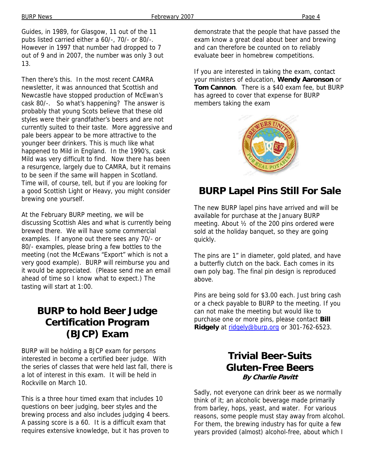Guides, in 1989, for Glasgow, 11 out of the 11 pubs listed carried either a 60/-, 70/- or 80/-. However in 1997 that number had dropped to 7 out of 9 and in 2007, the number was only 3 out 13.

Then there's this. In the most recent CAMRA newsletter, it was announced that Scottish and Newcastle have stopped production of McEwan's cask 80/-. So what's happening? The answer is probably that young Scots believe that these old styles were their grandfather's beers and are not currently suited to their taste. More aggressive and pale beers appear to be more attractive to the younger beer drinkers. This is much like what happened to Mild in England. In the 1990's, cask Mild was very difficult to find. Now there has been a resurgence, largely due to CAMRA, but it remains to be seen if the same will happen in Scotland. Time will, of course, tell, but if you are looking for a good Scottish Light or Heavy, you might consider brewing one yourself.

At the February BURP meeting, we will be discussing Scottish Ales and what is currently being brewed there. We will have some commercial examples. If anyone out there sees any 70/- or 80/- examples, please bring a few bottles to the meeting (not the McEwans "Export" which is not a very good example). BURP will reimburse you and it would be appreciated. (Please send me an email ahead of time so I know what to expect.) The tasting will start at 1:00.

### **BURP to hold Beer Judge Certification Program (BJCP) Exam**

BURP will be holding a BJCP exam for persons interested in become a certified beer judge. With the series of classes that were held last fall, there is a lot of interest in this exam. It will be held in Rockville on March 10.

This is a three hour timed exam that includes 10 questions on beer judging, beer styles and the brewing process and also includes judging 4 beers. A passing score is a 60. It is a difficult exam that requires extensive knowledge, but it has proven to

demonstrate that the people that have passed the exam know a great deal about beer and brewing and can therefore be counted on to reliably evaluate beer in homebrew competitions.

If you are interested in taking the exam, contact your ministers of education, **Wendy Aaronson** or **Tom Cannon**. There is a \$40 exam fee, but BURP has agreed to cover that expense for BURP members taking the exam



## **BURP Lapel Pins Still For Sale**

The new BURP lapel pins have arrived and will be available for purchase at the January BURP meeting. About ½ of the 200 pins ordered were sold at the holiday banquet, so they are going quickly.

The pins are 1" in diameter, gold plated, and have a butterfly clutch on the back. Each comes in its own poly bag. The final pin design is reproduced above.

Pins are being sold for \$3.00 each. Just bring cash or a check payable to BURP to the meeting. If you can not make the meeting but would like to purchase one or more pins, please contact **Bill Ridgely** at ridgely@burp.org or 301-762-6523.

### **Trivial Beer-Suits Gluten-Free Beers By Charlie Pavitt**

Sadly, not everyone can drink beer as we normally think of it; an alcoholic beverage made primarily from barley, hops, yeast, and water. For various reasons, some people must stay away from alcohol. For them, the brewing industry has for quite a few years provided (almost) alcohol-free, about which I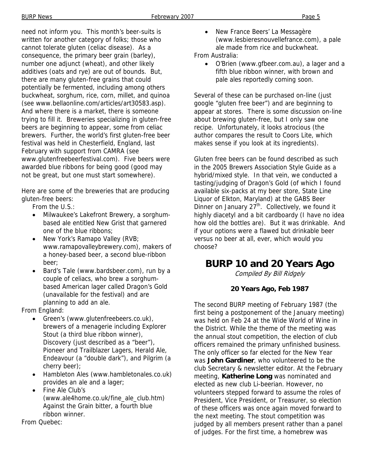need not inform you. This month's beer-suits is written for another category of folks; those who cannot tolerate gluten (celiac disease). As a consequence, the primary beer grain (barley), number one adjunct (wheat), and other likely additives (oats and rye) are out of bounds. But, there are many gluten-free grains that could potentially be fermented, including among others buckwheat, sorghum, rice, corn, millet, and quinoa (see www.bellaonline.com/articles/art30583.asp). And where there is a market, there is someone trying to fill it. Breweries specializing in gluten-free beers are beginning to appear, some from celiac brewers. Further, the world's first gluten-free beer festival was held in Chesterfield, England, last February with support from CAMRA (see www.glutenfreebeerfestival.com). Five beers were awarded blue ribbons for being good (good may not be great, but one must start somewhere).

Here are some of the breweries that are producing gluten-free beers:

- From the U.S.:
- Milwaukee's Lakefront Brewery, a sorghumbased ale entitled New Grist that garnered one of the blue ribbons;
- New York's Ramapo Valley (RVB; www.ramapovalleybrewery.com), makers of a honey-based beer, a second blue-ribbon beer;
- Bard's Tale (www.bardsbeer.com), run by a couple of celiacs, who brew a sorghumbased American lager called Dragon's Gold (unavailable for the festival) and are planning to add an ale.

From England:

- Green's (www.glutenfreebeers.co.uk), brewers of a menagerie including Explorer Stout (a third blue ribbon winner), Discovery (just described as a "beer"), Pioneer and Trailblazer Lagers, Herald Ale, Endeavour (a "double dark"), and Pilgrim (a cherry beer);
- Hambleton Ales (www.hambletonales.co.uk) provides an ale and a lager;
- Fine Ale Club's (www.ale4home.co.uk/fine\_ale\_club.htm) Against the Grain bitter, a fourth blue ribbon winner.

From Quebec:

• New France Beers' La Messagère (www.lesbieresnouvellefrance.com), a pale ale made from rice and buckwheat.

From Australia:

• O'Brien (www.gfbeer.com.au), a lager and a fifth blue ribbon winner, with brown and pale ales reportedly coming soon.

Several of these can be purchased on-line (just google "gluten free beer") and are beginning to appear at stores. There is some discussion on-line about brewing gluten-free, but I only saw one recipe. Unfortunately, it looks atrocious (the author compares the result to Coors Lite, which makes sense if you look at its ingredients).

Gluten free beers can be found described as such in the 2005 Brewers Association Style Guide as a hybrid/mixed style. In that vein, we conducted a tasting/judging of Dragon's Gold (of which I found available six-packs at my beer store, State Line Liquor of Elkton, Maryland) at the GABS Beer Dinner on January  $27<sup>th</sup>$ . Collectively, we found it highly diacetyl and a bit cardboardy (I have no idea how old the bottles are). But it was drinkable. And if your options were a flawed but drinkable beer versus no beer at all, ever, which would you choose?

### **BURP 10 and 20 Years Ago**

Compiled By Bill Ridgely

#### **20 Years Ago, Feb 1987**

The second BURP meeting of February 1987 (the first being a postponement of the January meeting) was held on Feb 24 at the Wide World of Wine in the District. While the theme of the meeting was the annual stout competition, the election of club officers remained the primary unfinished business. The only officer so far elected for the New Year was **John Gardiner**, who volunteered to be the club Secretary & newsletter editor. At the February meeting, **Katherine Long** was nominated and elected as new club Li-beerian. However, no volunteers stepped forward to assume the roles of President, Vice President, or Treasurer, so election of these officers was once again moved forward to the next meeting. The stout competition was judged by all members present rather than a panel of judges. For the first time, a homebrew was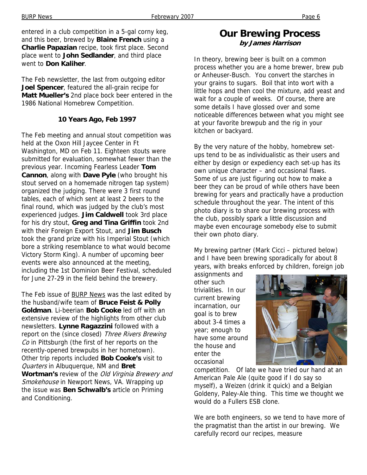entered in a club competition in a 5-gal corny keg, and this beer, brewed by **Blaine French** using a **Charlie Papazian** recipe, took first place. Second place went to **John Sedlander**, and third place went to **Don Kaliher**.

The Feb newsletter, the last from outgoing editor **Joel Spencer**, featured the all-grain recipe for **Matt Mueller's** 2nd place bock beer entered in the 1986 National Homebrew Competition.

#### **10 Years Ago, Feb 1997**

The Feb meeting and annual stout competition was held at the Oxon Hill Jaycee Center in Ft Washington, MD on Feb 11. Eighteen stouts were submitted for evaluation, somewhat fewer than the previous year. Incoming Fearless Leader **Tom Cannon**, along with **Dave Pyle** (who brought his stout served on a homemade nitrogen tap system) organized the judging. There were 3 first round tables, each of which sent at least 2 beers to the final round, which was judged by the club's most experienced judges. **Jim Caldwell** took 3rd place for his dry stout, **Greg and Tina Griffin** took 2nd with their Foreign Export Stout, and **Jim Busch** took the grand prize with his Imperial Stout (which bore a striking resemblance to what would become Victory Storm King). A number of upcoming beer events were also announced at the meeting, including the 1st Dominion Beer Festival, scheduled for June 27-29 in the field behind the brewery.

The Feb issue of **BURP News** was the last edited by the husband/wife team of **Bruce Feist & Polly Goldman**. Li-beerian **Bob Cooke** led off with an extensive review of the highlights from other club newsletters. **Lynne Ragazzini** followed with a report on the (since closed) Three Rivers Brewing Co in Pittsburgh (the first of her reports on the recently-opened brewpubs in her hometown). Other trip reports included **Bob Cooke's** visit to Quarters in Albuquerque, NM and **Bret Wortman's** review of the Old Virginia Brewery and Smokehouse in Newport News, VA. Wrapping up the issue was **Ben Schwalb's** article on Priming and Conditioning.

### **Our Brewing Process by James Harrison**

In theory, brewing beer is built on a common process whether you are a home brewer, brew pub or Anheuser-Busch. You convert the starches in your grains to sugars. Boil that into wort with a little hops and then cool the mixture, add yeast and wait for a couple of weeks. Of course, there are some details I have glossed over and some noticeable differences between what you might see at your favorite brewpub and the rig in your kitchen or backyard.

By the very nature of the hobby, homebrew setups tend to be as individualistic as their users and either by design or expediency each set-up has its own unique character – and occasional flaws. Some of us are just figuring out how to make a beer they can be proud of while others have been brewing for years and practically have a production schedule throughout the year. The intent of this photo diary is to share our brewing process with the club, possibly spark a little discussion and maybe even encourage somebody else to submit their own photo diary.

My brewing partner (Mark Cicci – pictured below) and I have been brewing sporadically for about 8 years, with breaks enforced by children, foreign job

assignments and other such trivialities. In our current brewing incarnation, our goal is to brew about 3-4 times a year; enough to have some around the house and enter the occasional



competition. Of late we have tried our hand at an American Pale Ale (quite good if I do say so myself), a Weizen (drink it quick) and a Belgian Goldeny, Paley-Ale thing. This time we thought we would do a Fullers ESB clone.

We are both engineers, so we tend to have more of the pragmatist than the artist in our brewing. We carefully record our recipes, measure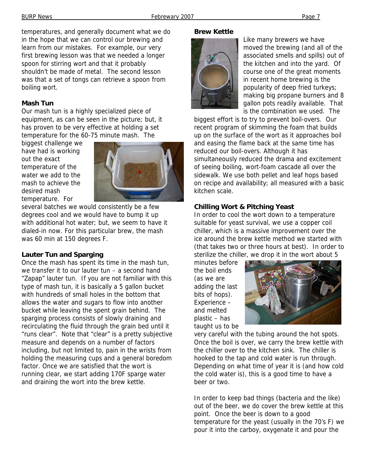temperatures, and generally document what we do in the hope that we can control our brewing and learn from our mistakes. For example, our very first brewing lesson was that we needed a longer spoon for stirring wort and that it probably shouldn't be made of metal. The second lesson was that a set of tongs can retrieve a spoon from boiling wort.

#### **Mash Tun**

Our mash tun is a highly specialized piece of equipment, as can be seen in the picture; but, it has proven to be very effective at holding a set temperature for the 60-75 minute mash. The

biggest challenge we have had is working out the exact temperature of the water we add to the mash to achieve the desired mash temperature. For



several batches we would consistently be a few degrees cool and we would have to bump it up with additional hot water; but, we seem to have it dialed-in now. For this particular brew, the mash was 60 min at 150 degrees F.

#### **Lauter Tun and Sparging**

Once the mash has spent its time in the mash tun, we transfer it to our lauter tun – a second hand "Zapap" lauter tun. If you are not familiar with this type of mash tun, it is basically a 5 gallon bucket with hundreds of small holes in the bottom that allows the water and sugars to flow into another bucket while leaving the spent grain behind. The sparging process consists of slowly draining and recirculating the fluid through the grain bed until it "runs clear". Note that "clear" is a pretty subjective measure and depends on a number of factors including, but not limited to, pain in the wrists from holding the measuring cups and a general boredom factor. Once we are satisfied that the wort is running clear, we start adding 170F sparge water and draining the wort into the brew kettle.

#### **Brew Kettle**



Like many brewers we have moved the brewing (and all of the associated smells and spills) out of the kitchen and into the yard. Of course one of the great moments in recent home brewing is the popularity of deep fried turkeys; making big propane burners and 8 gallon pots readily available. That is the combination we used. The

biggest effort is to try to prevent boil-overs. Our recent program of skimming the foam that builds up on the surface of the wort as it approaches boil and easing the flame back at the same time has reduced our boil-overs. Although it has simultaneously reduced the drama and excitement of seeing boiling, wort-foam cascade all over the sidewalk. We use both pellet and leaf hops based on recipe and availability; all measured with a basic kitchen scale.

#### **Chilling Wort & Pitching Yeast**

In order to cool the wort down to a temperature suitable for yeast survival, we use a copper coil chiller, which is a massive improvement over the ice around the brew kettle method we started with (that takes two or three hours at best). In order to sterilize the chiller, we drop it in the wort about 5

minutes before the boil ends (as we are adding the last bits of hops). Experience – and melted plastic – has taught us to be



very careful with the tubing around the hot spots. Once the boil is over, we carry the brew kettle with the chiller over to the kitchen sink. The chiller is hooked to the tap and cold water is run through. Depending on what time of year it is (and how cold the cold water is), this is a good time to have a beer or two.

In order to keep bad things (bacteria and the like) out of the beer, we do cover the brew kettle at this point. Once the beer is down to a good temperature for the yeast (usually in the 70's F) we pour it into the carboy, oxygenate it and pour the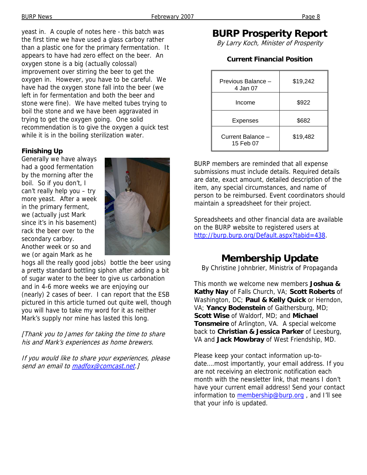yeast in. A couple of notes here - this batch was the first time we have used a glass carboy rather than a plastic one for the primary fermentation. It appears to have had zero effect on the beer. An oxygen stone is a big (actually colossal) improvement over stirring the beer to get the oxygen in. However, you have to be careful. We have had the oxygen stone fall into the beer (we left in for fermentation and both the beer and stone were fine). We have melted tubes trying to boil the stone and we have been aggravated in trying to get the oxygen going. One solid recommendation is to give the oxygen a quick test while it is in the boiling sterilization water.

#### **Finishing Up**

Generally we have always had a good fermentation by the morning after the boil. So if you don't, I can't really help you – try more yeast. After a week in the primary ferment, we (actually just Mark since it's in his basement) rack the beer over to the secondary carboy. Another week or so and we (or again Mark as he



hogs all the really good jobs) bottle the beer using a pretty standard bottling siphon after adding a bit of sugar water to the beer to give us carbonation and in 4-6 more weeks we are enjoying our (nearly) 2 cases of beer. I can report that the ESB pictured in this article turned out quite well, though you will have to take my word for it as neither Mark's supply nor mine has lasted this long.

[Thank you to James for taking the time to share his and Mark's experiences as home brewers.

If you would like to share your experiences, please send an email to madfox@comcast.net.]

## **BURP Prosperity Report**

By Larry Koch, Minister of Prosperity

#### **Current Financial Position**

| Previous Balance -<br>4 Jan 07 | \$19,242 |
|--------------------------------|----------|
| Income                         | \$922    |
| Expenses                       | \$682    |
| Current Balance -<br>15 Feb 07 | \$19,482 |

BURP members are reminded that all expense submissions must include details. Required details are date, exact amount, detailed description of the item, any special circumstances, and name of person to be reimbursed. Event coordinators should maintain a spreadsheet for their project.

Spreadsheets and other financial data are available on the BURP website to registered users at http://burp.burp.org/Default.aspx?tabid=438.

### **Membership Update**

By Christine Johnbrier, Ministrix of Propaganda

This month we welcome new members **Joshua & Kathy Nay** of Falls Church, VA; **Scott Roberts** of Washington, DC; **Paul & Kelly Quick** or Herndon, VA; **Yancy Bodenstein** of Gaithersburg, MD; **Scott Wise** of Waldorf, MD; and **Michael Tonsmeire** of Arlington, VA. A special welcome back to **Christian & Jessica Parker** of Leesburg, VA and **Jack Mowbray** of West Friendship, MD.

Please keep your contact information up-todate….most importantly, your email address. If you are not receiving an electronic notification each month with the newsletter link, that means I don't have your current email address! Send your contact information to membership@burp.org, and I'll see that your info is updated.